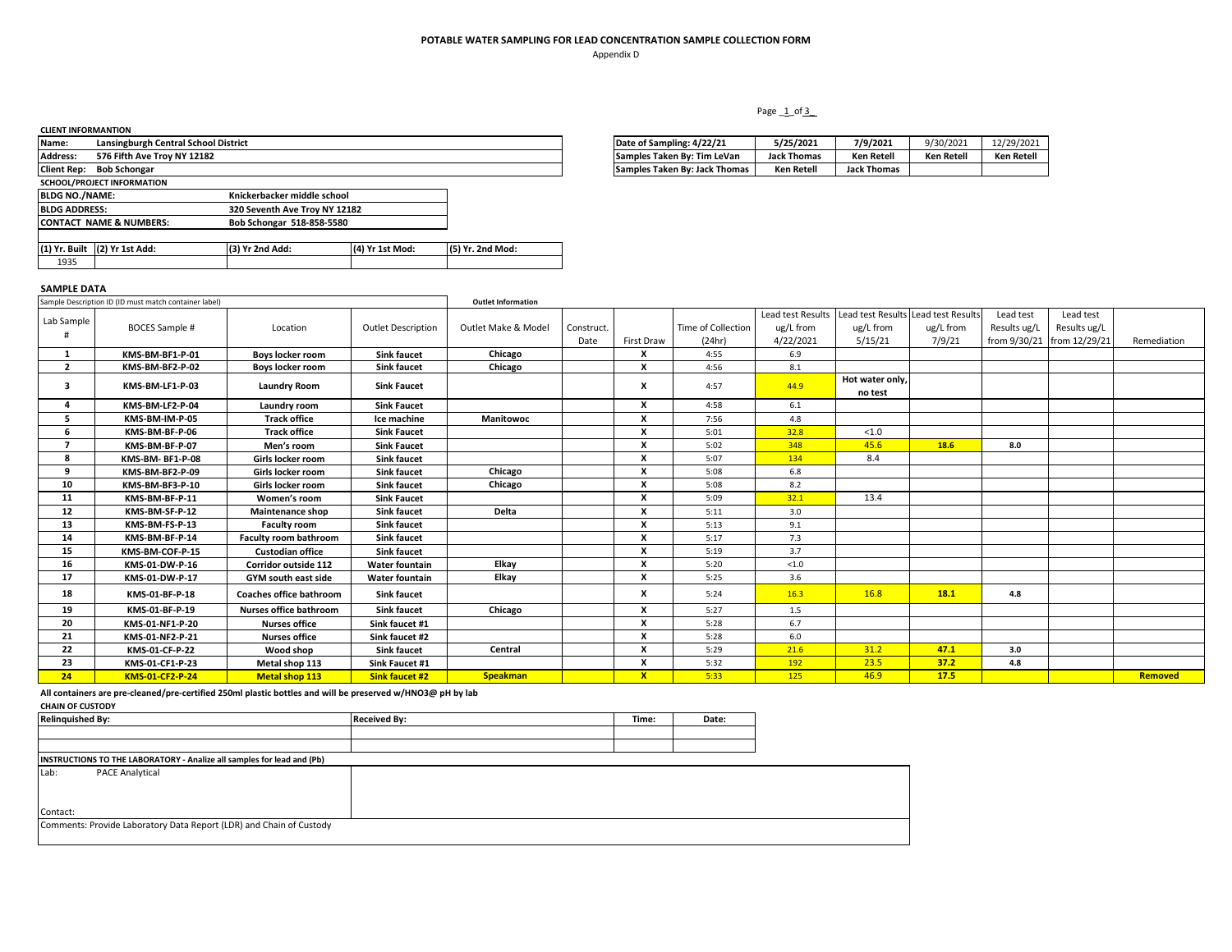Appendix D

## Page 1\_of 3\_

| <b>CLIENT INFORMANTION</b> |                                      |                               |                 |                  |                               |                    |                    |            |                   |
|----------------------------|--------------------------------------|-------------------------------|-----------------|------------------|-------------------------------|--------------------|--------------------|------------|-------------------|
| Name:                      | Lansingburgh Central School District |                               |                 |                  | Date of Sampling: 4/22/21     | 5/25/2021          | 7/9/2021           | 9/30/2021  | 12/29/2021        |
| <b>Address:</b>            | 576 Fifth Ave Troy NY 12182          |                               |                 |                  | Samples Taken By: Tim LeVan   | <b>Jack Thomas</b> | <b>Ken Retell</b>  | Ken Retell | <b>Ken Retell</b> |
|                            | Client Rep: Bob Schongar             |                               |                 |                  | Samples Taken By: Jack Thomas | <b>Ken Retell</b>  | <b>Jack Thomas</b> |            |                   |
|                            | SCHOOL/PROJECT INFORMATION           |                               |                 |                  |                               |                    |                    |            |                   |
| <b>BLDG NO./NAME:</b>      |                                      | Knickerbacker middle school   |                 |                  |                               |                    |                    |            |                   |
| <b>BLDG ADDRESS:</b>       |                                      | 320 Seventh Ave Troy NY 12182 |                 |                  |                               |                    |                    |            |                   |
|                            | <b>CONTACT NAME &amp; NUMBERS:</b>   | Bob Schongar 518-858-5580     |                 |                  |                               |                    |                    |            |                   |
|                            |                                      |                               |                 |                  |                               |                    |                    |            |                   |
|                            | (1) Yr. Built (2) Yr 1st Add:        | (3) Yr 2nd Add:               | (4) Yr 1st Mod: | (5) Yr. 2nd Mod: |                               |                    |                    |            |                   |
| 1935                       |                                      |                               |                 |                  |                               |                    |                    |            |                   |
|                            |                                      |                               |                 |                  |                               |                    |                    |            |                   |

| Date of Sampling: 4/22/21     | 5/25/2021          | 7/9/2021           | 9/30/2021         | 12/29/2021 |
|-------------------------------|--------------------|--------------------|-------------------|------------|
| Samples Taken By: Tim LeVan   | <b>Jack Thomas</b> | <b>Ken Retell</b>  | <b>Ken Retell</b> | Ken Retell |
| Samples Taken By: Jack Thomas | Ken Retell         | <b>Jack Thomas</b> |                   |            |

#### **SAMPLE DATA**

|              | Sample Description ID (ID must match container label) |                                |                           | <b>Outlet Information</b> |            |              |                    |           |                                                       |           |                            |              |             |
|--------------|-------------------------------------------------------|--------------------------------|---------------------------|---------------------------|------------|--------------|--------------------|-----------|-------------------------------------------------------|-----------|----------------------------|--------------|-------------|
|              |                                                       |                                |                           |                           |            |              |                    |           | Lead test Results Lead test Results Lead test Results |           | Lead test                  | Lead test    |             |
| Lab Sample   | <b>BOCES Sample #</b>                                 | Location                       | <b>Outlet Description</b> | Outlet Make & Model       | Construct. |              | Time of Collection | ug/L from | ug/L from                                             | ug/L from | Results ug/L               | Results ug/L |             |
|              |                                                       |                                |                           |                           | Date       | First Draw   | (24hr)             | 4/22/2021 | 5/15/21                                               | 7/9/21    | from 9/30/21 from 12/29/21 |              | Remediation |
|              | KMS-BM-BF1-P-01                                       | Boys locker room               | <b>Sink faucet</b>        | Chicago                   |            | x            | 4:55               | 6.9       |                                                       |           |                            |              |             |
| $\mathbf{2}$ | KMS-BM-BF2-P-02                                       | <b>Boys locker room</b>        | <b>Sink faucet</b>        | Chicago                   |            | x            | 4:56               | 8.1       |                                                       |           |                            |              |             |
| 3            | KMS-BM-LF1-P-03                                       | <b>Laundry Room</b>            | <b>Sink Faucet</b>        |                           |            | x            | 4:57               | 44.9      | Hot water only,<br>no test                            |           |                            |              |             |
|              | KMS-BM-LF2-P-04                                       | Laundry room                   | <b>Sink Faucet</b>        |                           |            | x            | 4:58               | 6.1       |                                                       |           |                            |              |             |
|              | KMS-BM-IM-P-05                                        | <b>Track office</b>            | Ice machine               | <b>Manitowoc</b>          |            | X            | 7:56               | 4.8       |                                                       |           |                            |              |             |
| 6            | KMS-BM-BF-P-06                                        | <b>Track office</b>            | <b>Sink Faucet</b>        |                           |            | X            | 5:01               | 32.8      | < 1.0                                                 |           |                            |              |             |
|              | KMS-BM-BF-P-07                                        | Men's room                     | <b>Sink Faucet</b>        |                           |            | X            | 5:02               | 348       | 45.6                                                  | 18.6      | 8.0                        |              |             |
| 8            | KMS-BM-BF1-P-08                                       | Girls locker room              | <b>Sink faucet</b>        |                           |            | X            | 5:07               | 134       | 8.4                                                   |           |                            |              |             |
| ٩            | KMS-BM-BF2-P-09                                       | Girls locker room              | <b>Sink faucet</b>        | Chicago                   |            |              | 5:08               | 6.8       |                                                       |           |                            |              |             |
| 10           | KMS-BM-BF3-P-10                                       | Girls locker room              | <b>Sink faucet</b>        | Chicago                   |            |              | 5:08               | 8.2       |                                                       |           |                            |              |             |
| 11           | KMS-BM-BF-P-11                                        | Women's room                   | <b>Sink Faucet</b>        |                           |            |              | 5:09               | 32.1      | 13.4                                                  |           |                            |              |             |
| 12           | KMS-BM-SF-P-12                                        | <b>Maintenance shop</b>        | <b>Sink faucet</b>        | <b>Delta</b>              |            |              | 5:11               | 3.0       |                                                       |           |                            |              |             |
| 13           | KMS-BM-FS-P-13                                        | <b>Faculty room</b>            | <b>Sink faucet</b>        |                           |            |              | 5:13               | 9.1       |                                                       |           |                            |              |             |
| 14           | KMS-BM-BF-P-14                                        | <b>Faculty room bathroom</b>   | <b>Sink faucet</b>        |                           |            | $\mathbf{x}$ | 5:17               | 7.3       |                                                       |           |                            |              |             |
| 15           | KMS-BM-COF-P-15                                       | <b>Custodian office</b>        | <b>Sink faucet</b>        |                           |            |              | 5:19               | 3.7       |                                                       |           |                            |              |             |
| 16           | KMS-01-DW-P-16                                        | Corridor outside 112           | <b>Water fountain</b>     | Elkay                     |            | X            | 5:20               | $<1.0$    |                                                       |           |                            |              |             |
| 17           | KMS-01-DW-P-17                                        | <b>GYM</b> south east side     | <b>Water fountain</b>     | Elkay                     |            | X            | 5:25               | 3.6       |                                                       |           |                            |              |             |
| 18           | KMS-01-BF-P-18                                        | <b>Coaches office bathroom</b> | <b>Sink faucet</b>        |                           |            | x            | 5:24               | 16.3      | 16.8                                                  | 18.1      | 4.8                        |              |             |
| 19           | KMS-01-BF-P-19                                        | <b>Nurses office bathroom</b>  | <b>Sink faucet</b>        | Chicago                   |            | x            | 5:27               | 1.5       |                                                       |           |                            |              |             |
| 20           | KMS-01-NF1-P-20                                       | <b>Nurses office</b>           | Sink faucet #1            |                           |            | X            | 5:28               | 6.7       |                                                       |           |                            |              |             |
| 21           | KMS-01-NF2-P-21                                       | <b>Nurses office</b>           | Sink faucet #2            |                           |            | X            | 5:28               | 6.0       |                                                       |           |                            |              |             |
| 22           | KMS-01-CF-P-22                                        | Wood shop                      | <b>Sink faucet</b>        | Central                   |            | X            | 5:29               | 21.6      | 31.2                                                  | 47.1      | 3.0                        |              |             |
| 23           | KMS-01-CF1-P-23                                       | Metal shop 113                 | Sink Faucet #1            |                           |            | X            | 5:32               | 192       | 23.5                                                  | 37.2      | 4.8                        |              |             |
| 24           | <b>KMS-01-CF2-P-24</b>                                | <b>Metal shop 113</b>          | Sink faucet #2            | <b>Speakman</b>           |            | $\mathbf{x}$ | 5:33               | 125       | 46.9                                                  | 17.5      |                            |              | Removed     |

**All containers are pre-cleaned/pre-certified 250ml plastic bottles and will be preserved w/HNO3@ pH by lab**

### **CHAIN OF CUSTODY**

| <b>Relinquished By:</b>                                                | <b>Received By:</b> | Time: | Date: |
|------------------------------------------------------------------------|---------------------|-------|-------|
|                                                                        |                     |       |       |
|                                                                        |                     |       |       |
| INSTRUCTIONS TO THE LABORATORY - Analize all samples for lead and (Pb) |                     |       |       |
| <b>PACE Analytical</b><br>Lab:                                         |                     |       |       |
|                                                                        |                     |       |       |
|                                                                        |                     |       |       |
| Contact:                                                               |                     |       |       |
| Comments: Provide Laboratory Data Report (LDR) and Chain of Custody    |                     |       |       |
|                                                                        |                     |       |       |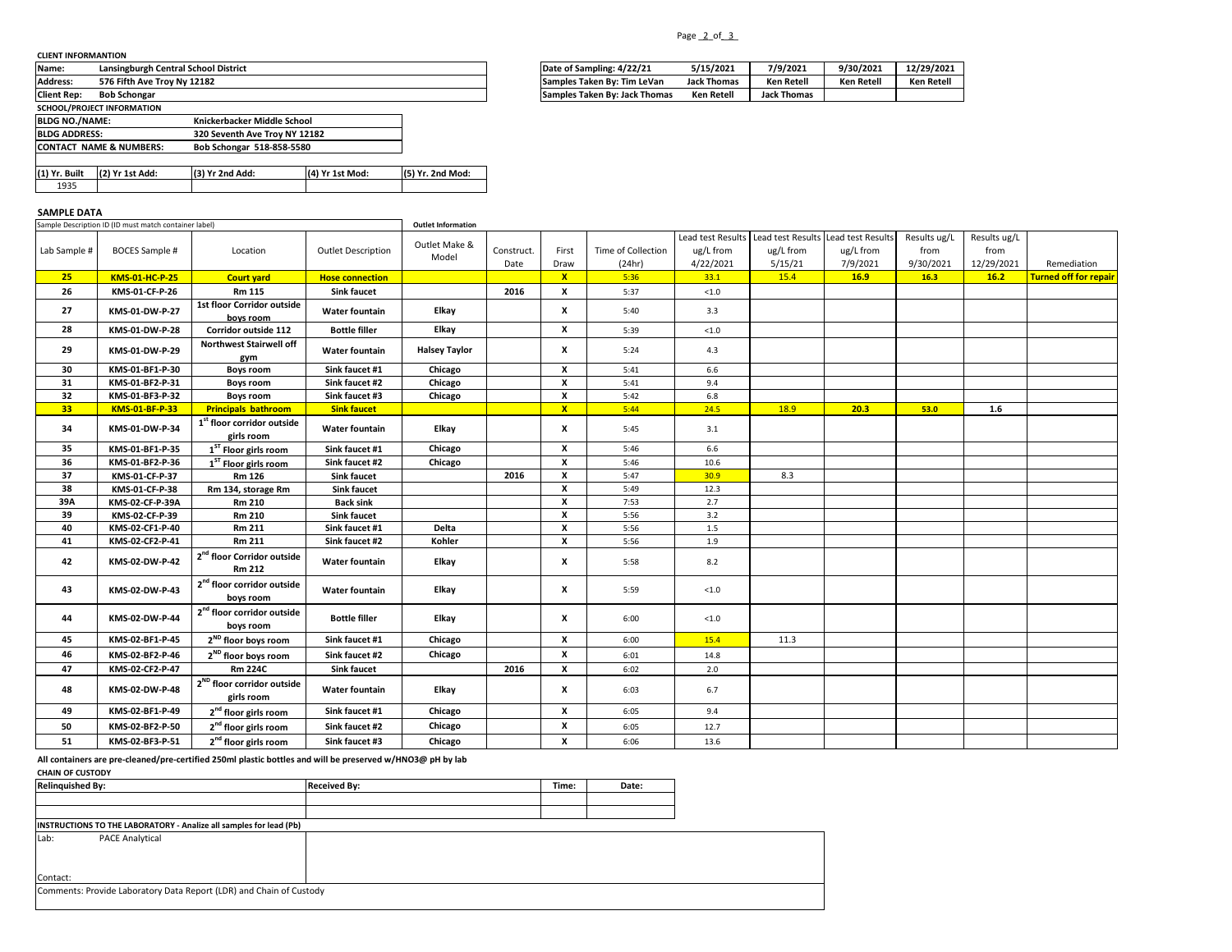### **CLIENT INFORMANTION**

| <b>Name:</b>          | Lansingburgh Central School District |                               |                 |                  | Date of Sampling: 4/22/21     | 5/15/2021          | 7/9/2021           | 9/30/2021         | 12/29/202         |
|-----------------------|--------------------------------------|-------------------------------|-----------------|------------------|-------------------------------|--------------------|--------------------|-------------------|-------------------|
| <b>Address:</b>       | 576 Fifth Ave Troy Ny 12182          |                               |                 |                  | Samples Taken By: Tim LeVan   | <b>Jack Thomas</b> | <b>Ken Retell</b>  | <b>Ken Retell</b> | <b>Ken Retell</b> |
| <b>Client Rep:</b>    | <b>Bob Schongar</b>                  |                               |                 |                  | Samples Taken By: Jack Thomas | Ken Retell         | <b>Jack Thomas</b> |                   |                   |
|                       | SCHOOL/PROJECT INFORMATION           |                               |                 |                  |                               |                    |                    |                   |                   |
| <b>BLDG NO./NAME:</b> |                                      | Knickerbacker Middle School   |                 |                  |                               |                    |                    |                   |                   |
| <b>BLDG ADDRESS:</b>  |                                      | 320 Seventh Ave Trov NY 12182 |                 |                  |                               |                    |                    |                   |                   |
|                       | <b>CONTACT NAME &amp; NUMBERS:</b>   | Bob Schongar 518-858-5580     |                 |                  |                               |                    |                    |                   |                   |
|                       |                                      |                               |                 |                  |                               |                    |                    |                   |                   |
| (1) Yr. Built         | (2) Yr 1st Add:                      | (3) Yr 2nd Add:               | (4) Yr 1st Mod: | (5) Yr. 2nd Mod: |                               |                    |                    |                   |                   |
| 1935                  |                                      |                               |                 |                  |                               |                    |                    |                   |                   |

# **SAMPLE DATA**

|              | Sample Description ID (ID must match container label) |                                                      |                           | <b>Outlet Information</b> |                    |                           |                              |                                             |                                                             |                       |                                   |                                    |                              |
|--------------|-------------------------------------------------------|------------------------------------------------------|---------------------------|---------------------------|--------------------|---------------------------|------------------------------|---------------------------------------------|-------------------------------------------------------------|-----------------------|-----------------------------------|------------------------------------|------------------------------|
| Lab Sample # | <b>BOCES Sample #</b>                                 | Location                                             | <b>Outlet Description</b> | Outlet Make &<br>Model    | Construct.<br>Date | First<br>Draw             | Time of Collection<br>(24hr) | Lead test Results<br>ug/L from<br>4/22/2021 | Lead test Results Lead test Results<br>ug/L from<br>5/15/21 | ug/L from<br>7/9/2021 | Results ug/L<br>from<br>9/30/2021 | Results ug/L<br>from<br>12/29/2021 | Remediation                  |
| 25           | KMS-01-HC-P-25                                        | <b>Court yard</b>                                    | <b>Hose connection</b>    |                           |                    | $\mathbf{x}$              | 5:36                         | 33.1                                        | 15.4                                                        | 16.9                  | 16.3                              | 16.2                               | <b>Turned off for repair</b> |
| 26           | KMS-01-CF-P-26                                        | Rm 115                                               | <b>Sink faucet</b>        |                           | 2016               | x                         | 5:37                         | $<1.0$                                      |                                                             |                       |                                   |                                    |                              |
| 27           | KMS-01-DW-P-27                                        | 1st floor Corridor outside<br>boys room              | Water fountain            | Elkay                     |                    | x                         | 5:40                         | 3.3                                         |                                                             |                       |                                   |                                    |                              |
| 28           | KMS-01-DW-P-28                                        | Corridor outside 112                                 | <b>Bottle filler</b>      | Elkay                     |                    | $\boldsymbol{\mathsf{x}}$ | 5:39                         | $<1.0$                                      |                                                             |                       |                                   |                                    |                              |
| 29           | KMS-01-DW-P-29                                        | Northwest Stairwell off<br>gym                       | Water fountain            | <b>Halsey Taylor</b>      |                    | x                         | 5:24                         | 4.3                                         |                                                             |                       |                                   |                                    |                              |
| 30           | KMS-01-BF1-P-30                                       | <b>Boys room</b>                                     | Sink faucet #1            | Chicago                   |                    | $\mathbf{x}$              | 5:41                         | 6.6                                         |                                                             |                       |                                   |                                    |                              |
| 31           | KMS-01-BF2-P-31                                       | <b>Boys room</b>                                     | Sink faucet #2            | Chicago                   |                    | $\boldsymbol{\mathsf{x}}$ | 5:41                         | 9.4                                         |                                                             |                       |                                   |                                    |                              |
| 32           | KMS-01-BF3-P-32                                       | <b>Boys room</b>                                     | Sink faucet #3            | Chicago                   |                    | $\pmb{\times}$            | 5:42                         | $6.8\,$                                     |                                                             |                       |                                   |                                    |                              |
| 33           | KMS-01-BF-P-33                                        | <b>Principals bathroom</b>                           | <b>Sink faucet</b>        |                           |                    | $\mathbf{x}$              | 5:44                         | 24.5                                        | 18.9                                                        | 20.3                  | 53.0                              | 1.6                                |                              |
| 34           | KMS-01-DW-P-34                                        | 1 <sup>st</sup> floor corridor outside<br>girls room | Water fountain            | Elkay                     |                    | х                         | 5:45                         | 3.1                                         |                                                             |                       |                                   |                                    |                              |
| 35           | KMS-01-BF1-P-35                                       | $\overline{\mathbf{1}}^{\text{ST}}$ Floor girls room | Sink faucet #1            | Chicago                   |                    | $\boldsymbol{\mathsf{x}}$ | 5:46                         | 6.6                                         |                                                             |                       |                                   |                                    |                              |
| 36           | KMS-01-BF2-P-36                                       | 1 <sup>ST</sup> Floor girls room                     | Sink faucet #2            | Chicago                   |                    | $\boldsymbol{\mathsf{x}}$ | 5:46                         | 10.6                                        |                                                             |                       |                                   |                                    |                              |
| 37           | KMS-01-CF-P-37                                        | <b>Rm 126</b>                                        | <b>Sink faucet</b>        |                           | 2016               | X                         | 5:47                         | 30.9                                        | 8.3                                                         |                       |                                   |                                    |                              |
| 38           | KMS-01-CF-P-38                                        | Rm 134, storage Rm                                   | <b>Sink faucet</b>        |                           |                    | $\overline{\mathbf{x}}$   | 5:49                         | 12.3                                        |                                                             |                       |                                   |                                    |                              |
| 39A          | KMS-02-CF-P-39A                                       | Rm 210                                               | <b>Back sink</b>          |                           |                    | $\boldsymbol{\mathsf{x}}$ | 7:53                         | 2.7                                         |                                                             |                       |                                   |                                    |                              |
| 39           | KMS-02-CF-P-39                                        | Rm 210                                               | <b>Sink faucet</b>        |                           |                    | $\pmb{\times}$            | 5:56                         | 3.2                                         |                                                             |                       |                                   |                                    |                              |
| 40           | KMS-02-CF1-P-40                                       | Rm 211                                               | Sink faucet #1            | <b>Delta</b>              |                    | $\boldsymbol{\mathsf{x}}$ | 5:56                         | 1.5                                         |                                                             |                       |                                   |                                    |                              |
| 41           | KMS-02-CF2-P-41                                       | Rm 211                                               | Sink faucet #2            | Kohler                    |                    | X                         | 5:56                         | 1.9                                         |                                                             |                       |                                   |                                    |                              |
| 42           | KMS-02-DW-P-42                                        | 2 <sup>nd</sup> floor Corridor outside<br>Rm 212     | Water fountain            | Elkay                     |                    | $\boldsymbol{\mathsf{x}}$ | 5:58                         | 8.2                                         |                                                             |                       |                                   |                                    |                              |
| 43           | KMS-02-DW-P-43                                        | $2^{\rm nd}$ floor corridor outside<br>boys room     | Water fountain            | Elkay                     |                    | $\boldsymbol{\mathsf{x}}$ | 5:59                         | < 1.0                                       |                                                             |                       |                                   |                                    |                              |
| 44           | KMS-02-DW-P-44                                        | 2 <sup>nd</sup> floor corridor outside<br>boys room  | <b>Bottle filler</b>      | Elkay                     |                    | $\boldsymbol{\mathsf{x}}$ | 6:00                         | $<1.0$                                      |                                                             |                       |                                   |                                    |                              |
| 45           | KMS-02-BF1-P-45                                       | $2^{ND}$ floor boys room                             | Sink faucet #1            | Chicago                   |                    | $\boldsymbol{\mathsf{x}}$ | 6:00                         | 15.4                                        | 11.3                                                        |                       |                                   |                                    |                              |
| 46           | KMS-02-BF2-P-46                                       | 2 <sup>ND</sup> floor boys room                      | Sink faucet #2            | Chicago                   |                    | $\boldsymbol{\mathsf{x}}$ | 6:01                         | 14.8                                        |                                                             |                       |                                   |                                    |                              |
| 47           | KMS-02-CF2-P-47                                       | <b>Rm 224C</b>                                       | <b>Sink faucet</b>        |                           | 2016               | x                         | 6:02                         | 2.0                                         |                                                             |                       |                                   |                                    |                              |
| 48           | KMS-02-DW-P-48                                        | $2^{\text{ND}}$ floor corridor outside<br>girls room | Water fountain            | Elkay                     |                    | x                         | 6:03                         | 6.7                                         |                                                             |                       |                                   |                                    |                              |
| 49           | KMS-02-BF1-P-49                                       | 2 <sup>nd</sup> floor girls room                     | Sink faucet #1            | Chicago                   |                    | x                         | 6:05                         | 9.4                                         |                                                             |                       |                                   |                                    |                              |
| 50           | KMS-02-BF2-P-50                                       | 2 <sup>nd</sup> floor girls room                     | Sink faucet #2            | Chicago                   |                    | x                         | 6:05                         | 12.7                                        |                                                             |                       |                                   |                                    |                              |
| 51           | KMS-02-BF3-P-51                                       | 2 <sup>nd</sup> floor girls room                     | Sink faucet #3            | Chicago                   |                    | x                         | 6:06                         | 13.6                                        |                                                             |                       |                                   |                                    |                              |

**All containers are pre-cleaned/pre-certified 250ml plastic bottles and will be preserved w/HNO3@ pH by lab**

| <b>CHAIN OF CUSTODY</b>                                            |                                                                     |                     |       |       |  |  |  |  |  |
|--------------------------------------------------------------------|---------------------------------------------------------------------|---------------------|-------|-------|--|--|--|--|--|
| <b>Relinquished By:</b>                                            |                                                                     | <b>Received By:</b> | Time: | Date: |  |  |  |  |  |
|                                                                    |                                                                     |                     |       |       |  |  |  |  |  |
|                                                                    |                                                                     |                     |       |       |  |  |  |  |  |
| INSTRUCTIONS TO THE LABORATORY - Analize all samples for lead (Pb) |                                                                     |                     |       |       |  |  |  |  |  |
| Lab:                                                               | <b>PACE Analytical</b>                                              |                     |       |       |  |  |  |  |  |
|                                                                    |                                                                     |                     |       |       |  |  |  |  |  |
|                                                                    |                                                                     |                     |       |       |  |  |  |  |  |
| Contact:                                                           |                                                                     |                     |       |       |  |  |  |  |  |
|                                                                    | Comments: Provide Laboratory Data Report (LDR) and Chain of Custody |                     |       |       |  |  |  |  |  |
|                                                                    |                                                                     |                     |       |       |  |  |  |  |  |

### Page \_2\_of \_3\_

| Name:          | Lansingburgh Central School District | Date of Sampling: 4/22/21     | 5/15/2021          | 7/9/2021           | 9/30/2021        | 12/29/2021 |
|----------------|--------------------------------------|-------------------------------|--------------------|--------------------|------------------|------------|
| <b>Address</b> | 576 Fifth Ave Trov Nv 12182          | Samples Taken By: Tim LeVan   | <b>Jack Thomas</b> | <b>Ken Retel</b>   | <b>Ken Retel</b> | Ken Retell |
| Client Rep     | <b>Bob Schongar</b>                  | Samples Taken By: Jack Thomas | Ken Retell         | <b>Jack Thomas</b> |                  |            |